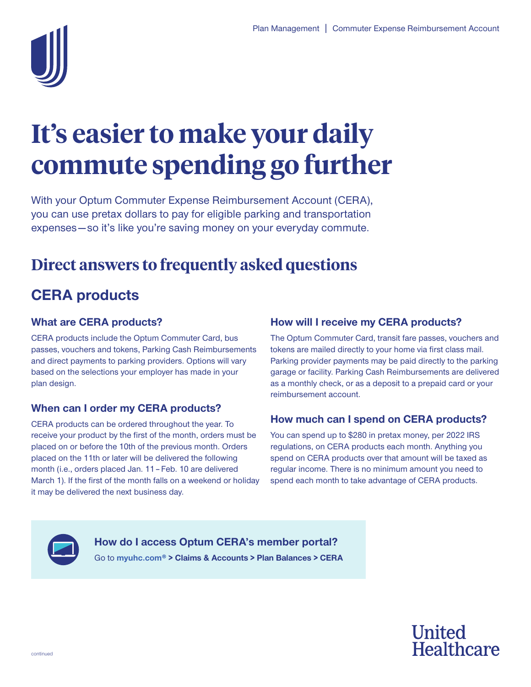

# **It's easier to make your daily commute spending go further**

 expenses — so it's like you're saving money on your everyday commute. With your Optum Commuter Expense Reimbursement Account (CERA), you can use pretax dollars to pay for eligible parking and transportation

# **Direct answers to frequently asked questions**

# **CERA products**

## **What are CERA products?**

CERA products include the Optum Commuter Card, bus passes, vouchers and tokens, Parking Cash Reimbursements and direct payments to parking providers. Options will vary based on the selections your employer has made in your plan design.

## **When can I order my CERA products?**

 month (i.e., orders placed Jan. 11 – Feb. 10 are delivered CERA products can be ordered throughout the year. To receive your product by the first of the month, orders must be placed on or before the 10th of the previous month. Orders placed on the 11th or later will be delivered the following March 1). If the first of the month falls on a weekend or holiday it may be delivered the next business day.

## **How will I receive my CERA products?**

The Optum Commuter Card, transit fare passes, vouchers and tokens are mailed directly to your home via first class mail. Parking provider payments may be paid directly to the parking garage or facility. Parking Cash Reimbursements are delivered as a monthly check, or as a deposit to a prepaid card or your reimbursement account.

## **How much can I spend on CERA products?**

You can spend up to \$280 in pretax money, per 2022 IRS regulations, on CERA products each month. Anything you spend on CERA products over that amount will be taxed as regular income. There is no minimum amount you need to spend each month to take advantage of CERA products.



**How do I access Optum CERA's member portal?**  Go to **myuhc.com® > Claims & Accounts > Plan Balances > CERA**